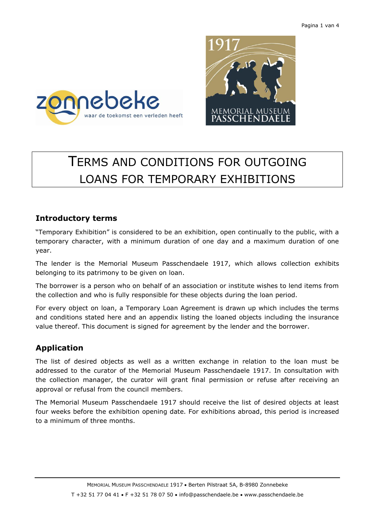



# TERMS AND CONDITIONS FOR OUTGOING LOANS FOR TEMPORARY EXHIBITIONS

#### **Introductory terms**

"Temporary Exhibition" is considered to be an exhibition, open continually to the public, with a temporary character, with a minimum duration of one day and a maximum duration of one year.

The lender is the Memorial Museum Passchendaele 1917, which allows collection exhibits belonging to its patrimony to be given on loan.

The borrower is a person who on behalf of an association or institute wishes to lend items from the collection and who is fully responsible for these objects during the loan period.

For every object on loan, a Temporary Loan Agreement is drawn up which includes the terms and conditions stated here and an appendix listing the loaned objects including the insurance value thereof. This document is signed for agreement by the lender and the borrower.

## **Application**

The list of desired objects as well as a written exchange in relation to the loan must be addressed to the curator of the Memorial Museum Passchendaele 1917. In consultation with the collection manager, the curator will grant final permission or refuse after receiving an approval or refusal from the council members.

The Memorial Museum Passchendaele 1917 should receive the list of desired objects at least four weeks before the exhibition opening date. For exhibitions abroad, this period is increased to a minimum of three months.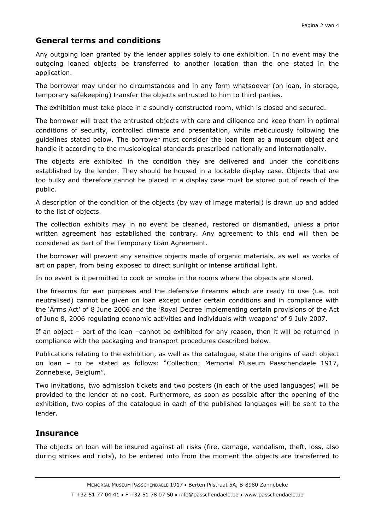## **General terms and conditions**

Any outgoing loan granted by the lender applies solely to one exhibition. In no event may the outgoing loaned objects be transferred to another location than the one stated in the application.

The borrower may under no circumstances and in any form whatsoever (on loan, in storage, temporary safekeeping) transfer the objects entrusted to him to third parties.

The exhibition must take place in a soundly constructed room, which is closed and secured.

The borrower will treat the entrusted objects with care and diligence and keep them in optimal conditions of security, controlled climate and presentation, while meticulously following the guidelines stated below. The borrower must consider the loan item as a museum object and handle it according to the musicological standards prescribed nationally and internationally.

The objects are exhibited in the condition they are delivered and under the conditions established by the lender. They should be housed in a lockable display case. Objects that are too bulky and therefore cannot be placed in a display case must be stored out of reach of the public.

A description of the condition of the objects (by way of image material) is drawn up and added to the list of objects.

The collection exhibits may in no event be cleaned, restored or dismantled, unless a prior written agreement has established the contrary. Any agreement to this end will then be considered as part of the Temporary Loan Agreement.

The borrower will prevent any sensitive objects made of organic materials, as well as works of art on paper, from being exposed to direct sunlight or intense artificial light.

In no event is it permitted to cook or smoke in the rooms where the objects are stored.

The firearms for war purposes and the defensive firearms which are ready to use (i.e. not neutralised) cannot be given on loan except under certain conditions and in compliance with the 'Arms Act' of 8 June 2006 and the 'Royal Decree implementing certain provisions of the Act of June 8, 2006 regulating economic activities and individuals with weapons' of 9 July 2007.

If an object – part of the loan –cannot be exhibited for any reason, then it will be returned in compliance with the packaging and transport procedures described below.

Publications relating to the exhibition, as well as the catalogue, state the origins of each object on loan – to be stated as follows: "Collection: Memorial Museum Passchendaele 1917, Zonnebeke, Belgium".

Two invitations, two admission tickets and two posters (in each of the used languages) will be provided to the lender at no cost. Furthermore, as soon as possible after the opening of the exhibition, two copies of the catalogue in each of the published languages will be sent to the lender.

## **Insurance**

The objects on loan will be insured against all risks (fire, damage, vandalism, theft, loss, also during strikes and riots), to be entered into from the moment the objects are transferred to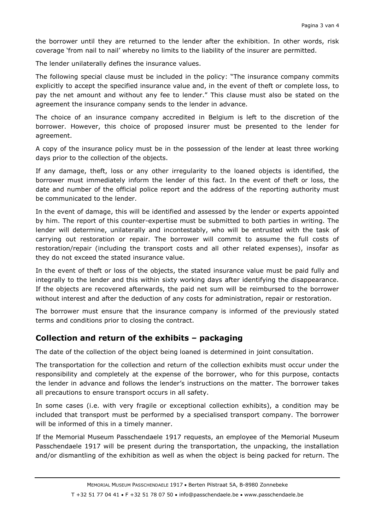the borrower until they are returned to the lender after the exhibition. In other words, risk coverage 'from nail to nail' whereby no limits to the liability of the insurer are permitted.

The lender unilaterally defines the insurance values.

The following special clause must be included in the policy: "The insurance company commits explicitly to accept the specified insurance value and, in the event of theft or complete loss, to pay the net amount and without any fee to lender." This clause must also be stated on the agreement the insurance company sends to the lender in advance.

The choice of an insurance company accredited in Belgium is left to the discretion of the borrower. However, this choice of proposed insurer must be presented to the lender for agreement.

A copy of the insurance policy must be in the possession of the lender at least three working days prior to the collection of the objects.

If any damage, theft, loss or any other irregularity to the loaned objects is identified, the borrower must immediately inform the lender of this fact. In the event of theft or loss, the date and number of the official police report and the address of the reporting authority must be communicated to the lender.

In the event of damage, this will be identified and assessed by the lender or experts appointed by him. The report of this counter-expertise must be submitted to both parties in writing. The lender will determine, unilaterally and incontestably, who will be entrusted with the task of carrying out restoration or repair. The borrower will commit to assume the full costs of restoration/repair (including the transport costs and all other related expenses), insofar as they do not exceed the stated insurance value.

In the event of theft or loss of the objects, the stated insurance value must be paid fully and integrally to the lender and this within sixty working days after identifying the disappearance. If the objects are recovered afterwards, the paid net sum will be reimbursed to the borrower without interest and after the deduction of any costs for administration, repair or restoration.

The borrower must ensure that the insurance company is informed of the previously stated terms and conditions prior to closing the contract.

# **Collection and return of the exhibits – packaging**

The date of the collection of the object being loaned is determined in joint consultation.

The transportation for the collection and return of the collection exhibits must occur under the responsibility and completely at the expense of the borrower, who for this purpose, contacts the lender in advance and follows the lender's instructions on the matter. The borrower takes all precautions to ensure transport occurs in all safety.

In some cases (i.e. with very fragile or exceptional collection exhibits), a condition may be included that transport must be performed by a specialised transport company. The borrower will be informed of this in a timely manner.

If the Memorial Museum Passchendaele 1917 requests, an employee of the Memorial Museum Passchendaele 1917 will be present during the transportation, the unpacking, the installation and/or dismantling of the exhibition as well as when the object is being packed for return. The